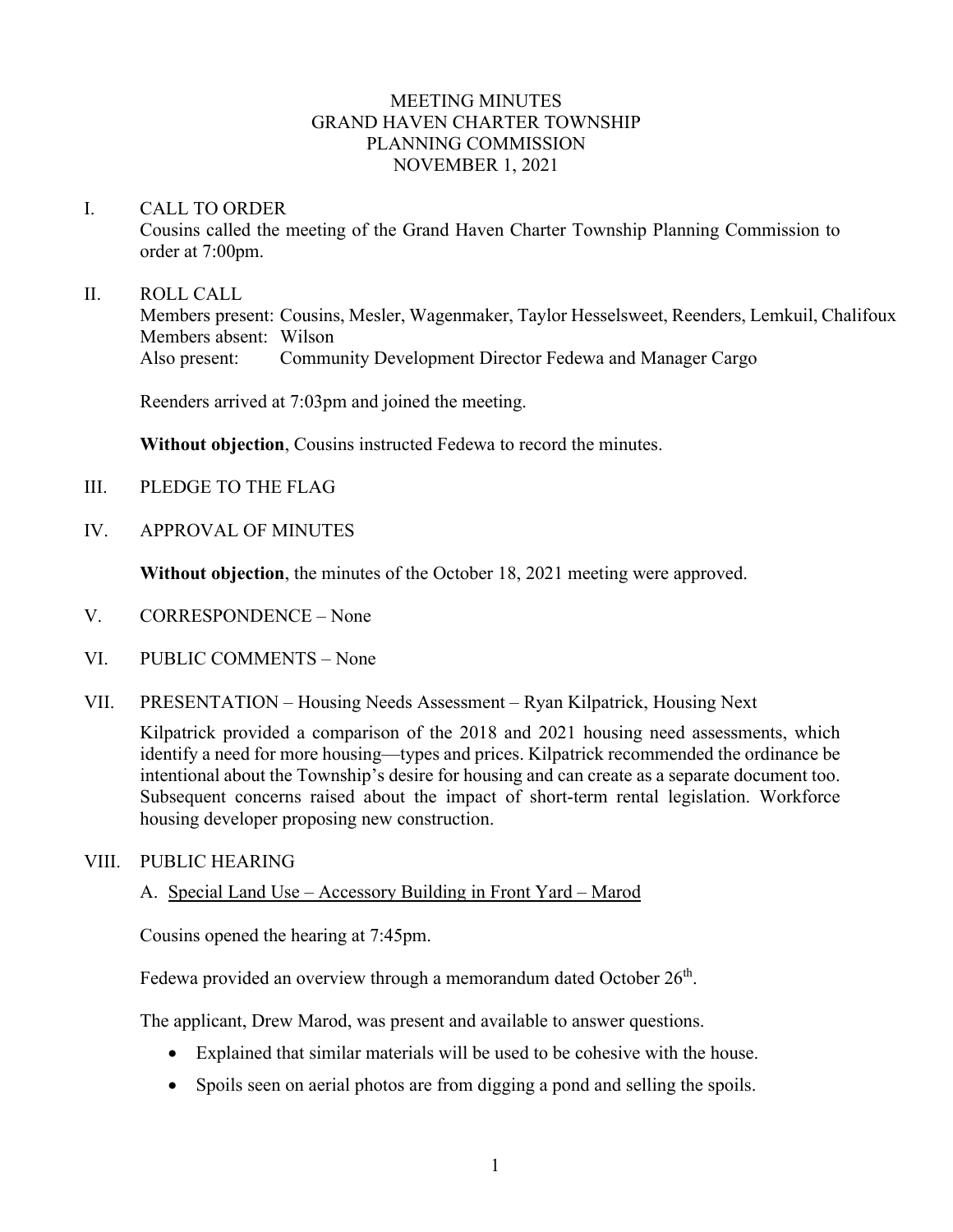## MEETING MINUTES GRAND HAVEN CHARTER TOWNSHIP PLANNING COMMISSION NOVEMBER 1, 2021

#### I. CALL TO ORDER

Cousins called the meeting of the Grand Haven Charter Township Planning Commission to order at 7:00pm.

#### II. ROLL CALL

Members present: Cousins, Mesler, Wagenmaker, Taylor Hesselsweet, Reenders, Lemkuil, Chalifoux Members absent: Wilson Also present: Community Development Director Fedewa and Manager Cargo

Reenders arrived at 7:03pm and joined the meeting.

**Without objection**, Cousins instructed Fedewa to record the minutes.

- III. PLEDGE TO THE FLAG
- IV. APPROVAL OF MINUTES

**Without objection**, the minutes of the October 18, 2021 meeting were approved.

- V. CORRESPONDENCE None
- VI. PUBLIC COMMENTS None
- VII. PRESENTATION Housing Needs Assessment Ryan Kilpatrick, Housing Next

Kilpatrick provided a comparison of the 2018 and 2021 housing need assessments, which identify a need for more housing—types and prices. Kilpatrick recommended the ordinance be intentional about the Township's desire for housing and can create as a separate document too. Subsequent concerns raised about the impact of short-term rental legislation. Workforce housing developer proposing new construction.

### VIII. PUBLIC HEARING

### A. Special Land Use – Accessory Building in Front Yard – Marod

Cousins opened the hearing at 7:45pm.

Fedewa provided an overview through a memorandum dated October 26<sup>th</sup>.

The applicant, Drew Marod, was present and available to answer questions.

- Explained that similar materials will be used to be cohesive with the house.
- Spoils seen on aerial photos are from digging a pond and selling the spoils.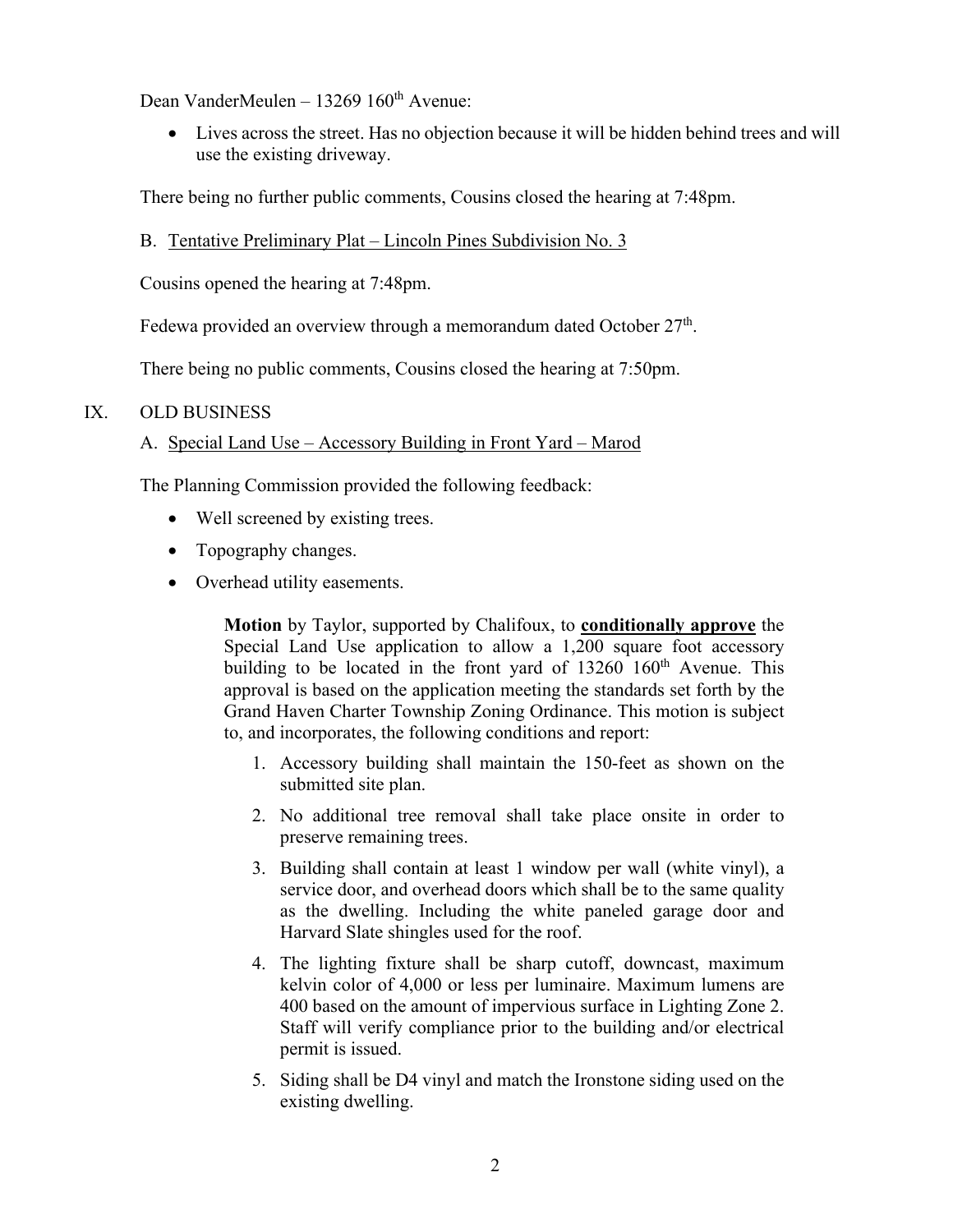Dean VanderMeulen – 13269  $160<sup>th</sup>$  Avenue:

• Lives across the street. Has no objection because it will be hidden behind trees and will use the existing driveway.

There being no further public comments, Cousins closed the hearing at 7:48pm.

# B. Tentative Preliminary Plat – Lincoln Pines Subdivision No. 3

Cousins opened the hearing at 7:48pm.

Fedewa provided an overview through a memorandum dated October  $27<sup>th</sup>$ .

There being no public comments, Cousins closed the hearing at 7:50pm.

### IX. OLD BUSINESS

# A. Special Land Use – Accessory Building in Front Yard – Marod

The Planning Commission provided the following feedback:

- Well screened by existing trees.
- Topography changes.
- Overhead utility easements.

**Motion** by Taylor, supported by Chalifoux, to **conditionally approve** the Special Land Use application to allow a 1,200 square foot accessory building to be located in the front yard of  $13260 \, 160$ <sup>th</sup> Avenue. This approval is based on the application meeting the standards set forth by the Grand Haven Charter Township Zoning Ordinance. This motion is subject to, and incorporates, the following conditions and report:

- 1. Accessory building shall maintain the 150-feet as shown on the submitted site plan.
- 2. No additional tree removal shall take place onsite in order to preserve remaining trees.
- 3. Building shall contain at least 1 window per wall (white vinyl), a service door, and overhead doors which shall be to the same quality as the dwelling. Including the white paneled garage door and Harvard Slate shingles used for the roof.
- 4. The lighting fixture shall be sharp cutoff, downcast, maximum kelvin color of 4,000 or less per luminaire. Maximum lumens are 400 based on the amount of impervious surface in Lighting Zone 2. Staff will verify compliance prior to the building and/or electrical permit is issued.
- 5. Siding shall be D4 vinyl and match the Ironstone siding used on the existing dwelling.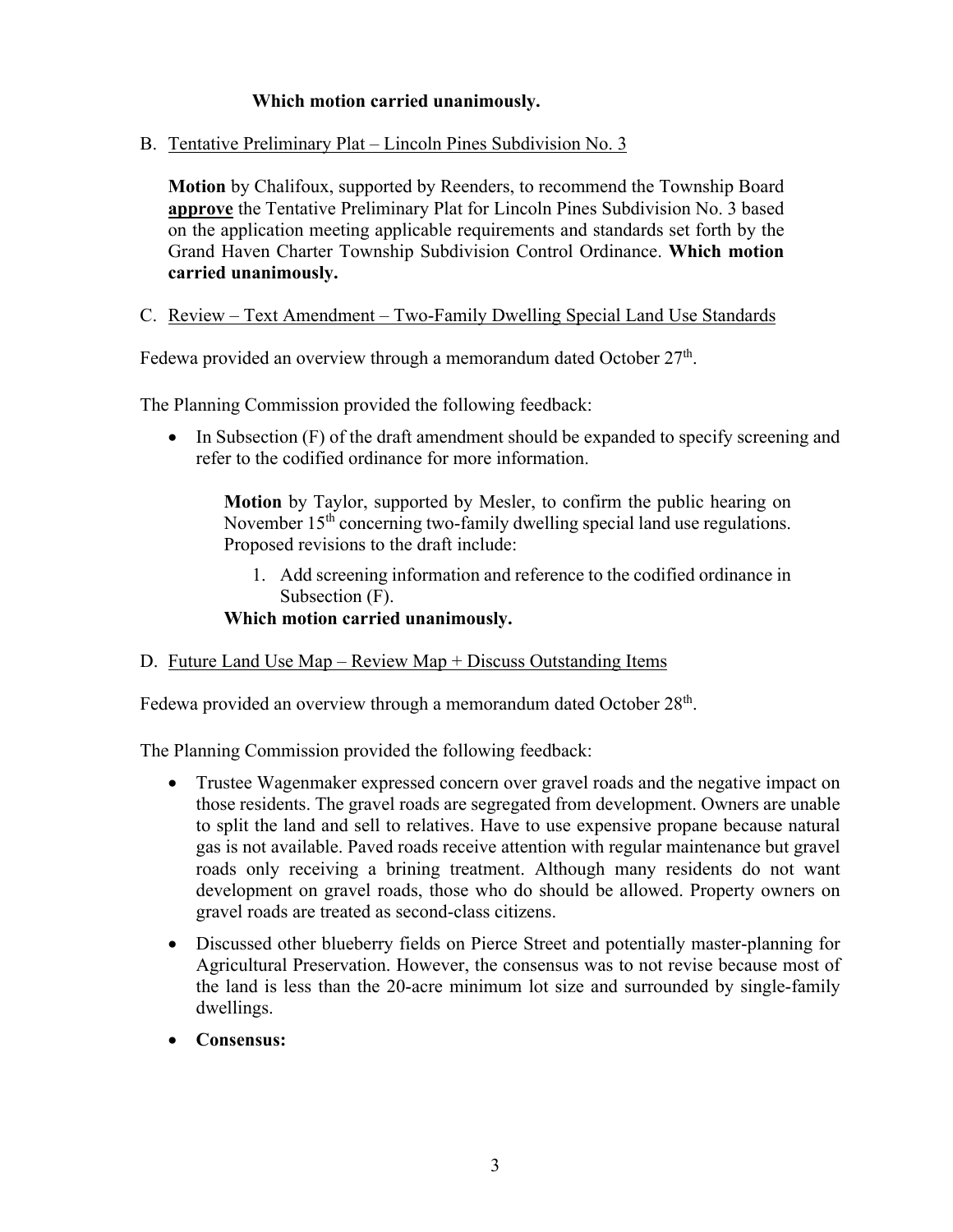# **Which motion carried unanimously.**

B. Tentative Preliminary Plat – Lincoln Pines Subdivision No. 3

**Motion** by Chalifoux, supported by Reenders, to recommend the Township Board **approve** the Tentative Preliminary Plat for Lincoln Pines Subdivision No. 3 based on the application meeting applicable requirements and standards set forth by the Grand Haven Charter Township Subdivision Control Ordinance. **Which motion carried unanimously.**

## C. Review – Text Amendment – Two-Family Dwelling Special Land Use Standards

Fedewa provided an overview through a memorandum dated October  $27<sup>th</sup>$ .

The Planning Commission provided the following feedback:

• In Subsection (F) of the draft amendment should be expanded to specify screening and refer to the codified ordinance for more information.

**Motion** by Taylor, supported by Mesler, to confirm the public hearing on November 15<sup>th</sup> concerning two-family dwelling special land use regulations. Proposed revisions to the draft include:

- 1. Add screening information and reference to the codified ordinance in Subsection (F).
- **Which motion carried unanimously.**
- D. Future Land Use Map Review Map + Discuss Outstanding Items

Fedewa provided an overview through a memorandum dated October 28<sup>th</sup>.

The Planning Commission provided the following feedback:

- Trustee Wagenmaker expressed concern over gravel roads and the negative impact on those residents. The gravel roads are segregated from development. Owners are unable to split the land and sell to relatives. Have to use expensive propane because natural gas is not available. Paved roads receive attention with regular maintenance but gravel roads only receiving a brining treatment. Although many residents do not want development on gravel roads, those who do should be allowed. Property owners on gravel roads are treated as second-class citizens.
- Discussed other blueberry fields on Pierce Street and potentially master-planning for Agricultural Preservation. However, the consensus was to not revise because most of the land is less than the 20-acre minimum lot size and surrounded by single-family dwellings.
- **Consensus:**